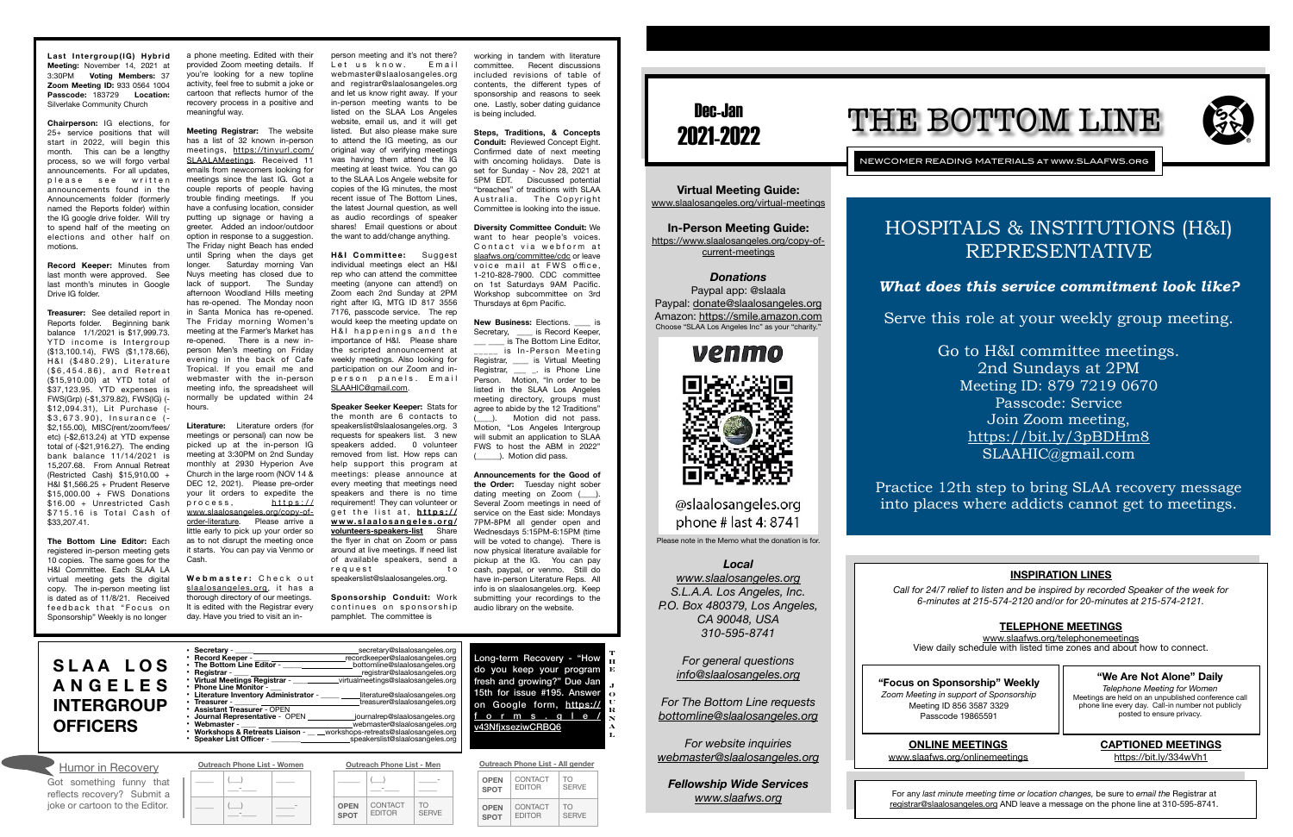# Dec-Jan 2021-2022

NEWCOMER READING MATERIALS at www.SLAAFWS.org

**Virtual Meeting Guide:**  [www.slaalosangeles.org/virtual-meetings](http://www.slaalosangeles.org/virtual-meetings)

*Donations*  Paypal app: @slaala Paypal: [donate@slaalosangeles.org](mailto:donate@slaalosangeles.org) Amazon: [https://smile.amazon.com](https://smile.amazon.com/) Choose "SLAA Los Angeles Inc" as your "charity.

# venmo

@slaalosangeles.org phone # last 4: 8741

**In-Person Meeting Guide:**  [https://www.slaalosangeles.org/copy-of](https://www.slaalosangeles.org/copy-of-current-meetings)[current-meetings](https://www.slaalosangeles.org/copy-of-current-meetings)

Please note in the Memo what the donation is for.

### *Local*

*[www.slaalosangeles.org](http://www.slaalosangeles.org) S.L.A.A. Los Angeles, Inc. P.O. Box 480379, Los Angeles, CA 90048, USA 310-595-8741* 

# Long-term Recovery - "How program 1?" Due Jan 195. Answer

m, [https://](https://forms.gle/v43NfjxseziwCRBQ6) gle/ BQ6

*For general questions [info@slaalosangeles.org](mailto:info@slaalosangeles.org)*

*For The Bottom Line requests [bottomline@slaalosangeles.org](mailto:bottomline@slaalosangeles.org)*

*For website inquiries [webmaster@slaalosangeles.org](mailto:webmaster@slaalosangeles.org)*

*Fellowship Wide Services [www.slaafws.org](http://www.slaafws.org)*

**"Focus on Sponsorship" Weekly** *Zoom Meeting in support of Sponsorship*  Meeting ID 856 3587 3329 Passcode 19865591

For any *last minute meeting time or location changes,* be sure to *email the* Registrar at [registrar@slaalosangeles.org](mailto:registrar@slaalosangeles.org) AND leave a message on the phone line at 310-595-8741.

**Treasurer:** See detailed report in Reports folder. Beginning bank balance 1/1/2021 is \$17,999.73. YTD income is Intergroup (\$13,100.14), FWS (\$1,178.66), H&I (\$480.29), Literature  $($6, 454.86)$ , and Retreat (\$15,910.00) at YTD total of \$37,123.95. YTD expenses is FWS(Grp) (-\$1,379.82), FWS(IG) (- \$12,094.31), Lit Purchase (- $$3,673.90$ , Insurance (-\$2,155.00), MISC(rent/zoom/fees/ etc) (-\$2,613.24) at YTD expense total of (-\$21,916.27). The ending bank balance 11/14/2021 is 15,207.68. From Annual Retreat (Restricted Cash) \$15,910.00 + H&I \$1,566.25 + Prudent Reserve \$15,000.00 + FWS Donations \$16.00 + Unrestricted Cash \$715.16 is Total Cash of \$33,207.41.

# THE BOTTOM LINE



**Last Intergroup(IG) Hybrid Meeting:** November 14, 2021 at 3:30PM **Voting Members:** 37 **Zoom Meeting ID:** 933 0564 1004 **Passcode:** 183729 **Location:**  Silverlake Community Church

**Chairperson:** IG elections, for 25+ service positions that will start in 2022, will begin this month. This can be a lengthy process, so we will forgo verbal announcements. For all updates, please see written announcements found in the Announcements folder (formerly named the Reports folder) within the IG google drive folder. Will try to spend half of the meeting on elections and other half on motions.

**Record Keeper:** Minutes from last month were approved. See last month's minutes in Google Drive IG folder.

> **Webmaster:** Check out [slaalosangeles.org](http://slaalosangeles.org), it has a thorough directory of our meetings. It is edited with the Registrar every day. Have you tried to visit an in-

 $\qquad \qquad$ 

 $\overline{\phantom{a}}$ 

**H&I Committee:** Suggest individual meetings elect an H&I rep who can attend the committee meeting (anyone can attend!) on Zoom each 2nd Sunday at 2PM right after IG, MTG ID 817 3556 7176, passcode service. The rep would keep the meeting update on H&I happenings and the importance of H&I. Please share the scripted announcement at weekly meetings. Also looking for participation on our Zoom and inperson panels. Email [SLAAHIC@gmail.com.](mailto:SLAAHIC@gmail.com)

**The Bottom Line Editor:** Each registered in-person meeting gets 10 copies. The same goes for the H&I Committee. Each SLAA LA virtual meeting gets the digital copy. The in-person meeting list is dated as of 11/8/21. Received feedback that "Focus on Sponsorship" Weekly is no longer

a phone meeting. Edited with their provided Zoom meeting details. If you're looking for a new topline activity, feel free to submit a joke or cartoon that reflects humor of the recovery process in a positive and meaningful way.

**Meeting Registrar:** The website has a list of 32 known in-person [meetings, https://tinyurl.com/](https://tinyurl.com/SLAALAMeetings) [SLAALAMeetings](https://tinyurl.com/SLAALAMeetings). Received 11 emails from newcomers looking for meetings since the last IG. Got a couple reports of people having trouble finding meetings. If you have a confusing location, consider putting up signage or having a greeter. Added an indoor/outdoor option in response to a suggestion. The Friday night Beach has ended until Spring when the days get longer. Saturday morning Van Nuys meeting has closed due to lack of support. The Sunday afternoon Woodland Hills meeting has re-opened. The Monday noon in Santa Monica has re-opened. The Friday morning Women's meeting at the Farmer's Market has re-opened. There is a new inperson Men's meeting on Friday evening in the back of Cafe Tropical. If you email me and webmaster with the in-person meeting info, the spreadsheet will normally be updated within 24 hours.

**New Business:** Elections. \_\_\_\_ is Secretary, \_\_\_\_\_ is Record Keeper, is The Bottom Line Editor, \_\_\_\_\_ is In-Person Meeting Registrar, \_\_\_\_\_ is Virtual Meeting Registrar, \_\_\_ \_. is Phone Line Person. Motion, "In order to be listed in the SLAA Los Angeles meeting directory, groups must agree to abide by the 12 Traditions" (a). Motion did not pass. Motion, "Los Angeles Intergroup will submit an application to SLAA FWS to host the ABM in 2022" ). Motion did pass.

| <b>SLAA LOS</b><br><b>ANGELES</b><br><b>INTERGROUP</b><br><b>OFFICERS</b> | • Secretary -<br>• Record Keeper - <u>______________</u><br>• The Bottom Line Editor -<br>• Registrar -<br>Virtual Meetings Registrar - ______<br>• Phone Line Monitor -<br>Literature Inventory Administrator -<br>Treasurer -<br>• Assistant Treasurer - OPEN<br>Journal Representative - OPEN _________<br>• Webmaster - ____ _________________________webmaster@slaalosangeles.org<br>• Workshops & Retreats Liaison - __ __workshops-retreats@slaalosangeles.org<br>• Speaker List Officer - Decree Speaker Market Speaker & | secretary@slaalosangeles.org<br>recordkeeper@slaalosangeles.org<br>bottomline@slaalosangeles.org<br>registrar@slaalosangeles.org<br>virtualmeetings@slaalosangeles.org<br>literature@slaalosangeles.org<br>treasurer@slaalosangeles.org<br>journalrep@slaalosangeles.org<br>speakerslist@slaalosangeles.org | Long-term Recovery - "Ho<br>do you keep your progral<br>fresh and growing?" Due Ja<br>15th for issue #195. Answe<br>on Google form, https:<br>forms.gle<br>v43NfjxseziwCRBQ6 |
|---------------------------------------------------------------------------|-----------------------------------------------------------------------------------------------------------------------------------------------------------------------------------------------------------------------------------------------------------------------------------------------------------------------------------------------------------------------------------------------------------------------------------------------------------------------------------------------------------------------------------|-------------------------------------------------------------------------------------------------------------------------------------------------------------------------------------------------------------------------------------------------------------------------------------------------------------|------------------------------------------------------------------------------------------------------------------------------------------------------------------------------|
| <b>Humor in Recovery</b>                                                  | <b>Outreach Phone List - Women</b>                                                                                                                                                                                                                                                                                                                                                                                                                                                                                                | <b>Outreach Phone List - Men</b>                                                                                                                                                                                                                                                                            | Outreach Phone List - All gender                                                                                                                                             |

**Literature:** Literature orders (for meetings or personal) can now be picked up at the in-person IG meeting at 3:30PM on 2nd Sunday monthly at 2930 Hyperion Ave Church in the large room (NOV 14 & DEC 12, 2021). Please pre-order your lit orders to expedite the process, [https://](https://www.slaalosangeles.org/copy-of-order-literature) [www.slaalosangeles.org/copy-of](https://www.slaalosangeles.org/copy-of-order-literature)[order-literature](https://www.slaalosangeles.org/copy-of-order-literature). Please arrive a little early to pick up your order so as to not disrupt the meeting once it starts. You can pay via Venmo or Cash.

> **CONTACT** EDITOR

person meeting and it's not there? Let us know, Email webmaster@slaalosangeles.org and registrar@slaalosangeles.org and let us know right away. If your in-person meeting wants to be listed on the SLAA Los Angeles website, email us, and it will get listed. But also please make sure to attend the IG meeting, as our original way of verifying meetings was having them attend the IG meeting at least twice. You can go to the SLAA Los Angele website for copies of the IG minutes, the most recent issue of The Bottom Lines, the latest Journal question, as well as audio recordings of speaker shares! Email questions or about the want to add/change anything.

**Speaker Seeker Keeper:** Stats for the month are 6 contacts to speakerslist@slaalosangeles.org. 3 requests for speakers list. 3 new speakers added. 0 volunteer removed from list. How reps can help support this program at meetings: please announce at every meeting that meetings need speakers and there is no time requirement! They can volunteer or get the list at, [https://](https://www.slaalosangeles.org/volunteers-speakers-list) **[www.slaalosangeles.org/](https://www.slaalosangeles.org/volunteers-speakers-list) [volunteers-speakers-list](https://www.slaalosangeles.org/volunteers-speakers-list)** Share the flyer in chat on Zoom or pass around at live meetings. If need list of available speakers, send a r e que st to speakerslist@slaalosangeles.org.

**Sponsorship Conduit:** Work continues on sponsorship pamphlet. The committee is

working in tandem with literature committee. Recent discussions included revisions of table of contents, the different types of sponsorship and reasons to seek one. Lastly, sober dating guidance is being included.

**Steps, Traditions, & Concepts Conduit:** Reviewed Concept Eight. Confirmed date of next meeting with oncoming holidays. Date is set for Sunday - Nov 28, 2021 at 5PM EDT. Discussed potential "breaches" of traditions with SLAA Australia. The Copyright Committee is looking into the issue.

**Diversity Committee Conduit:** We want to hear people's voices. Contact via webform at [slaafws.org/committee/cdc](http://slaafws.org/committee/cdc) or leave voice mail at FWS office. 1-210-828-7900. CDC committee on 1st Saturdays 9AM Pacific. Workshop subcommittee on 3rd Thursdays at 6pm Pacific.

**Announcements for the Good of the Order:** Tuesday night sober dating meeting on Zoom (\_\_\_\_). Several Zoom meetings in need of service on the East side: Mondays 7PM-8PM all gender open and Wednesdays 5:15PM-6:15PM (time will be voted to change). There is now physical literature available for pickup at the IG. You can pay cash, paypal, or venmo. Still do have in-person Literature Reps. All info is on slaalosangeles.org. Keep submitting your recordings to the audio library on the website.

| - Treasurer<br>• Webmaster - | • Assistant Treasurer - OPEN<br>• Journal Representative - OPEN<br>• Workshops & Retreats Liaison - workshops-retreats@s |  | treasurerws<br>journalrep@sl<br>webmaster@s |                                        |
|------------------------------|--------------------------------------------------------------------------------------------------------------------------|--|---------------------------------------------|----------------------------------------|
|                              | • Speaker List Officer - The Changes of Speaker List Officer - The Changes<br><b>Outreach Phone List - Women</b>         |  |                                             | speakerslist@s<br><b>Outreach Phon</b> |
|                              |                                                                                                                          |  |                                             |                                        |

 $\overline{\phantom{a}}$  $\overline{\phantom{a}}$ 

|  | speakerslist@slaalosangeles      |  |
|--|----------------------------------|--|
|  | <b>Outreach Phone List - Men</b> |  |
|  |                                  |  |

**OPEN SPOT**

TO SERVE

| <b>OPEN</b> | CONTACT       | TΩ           |
|-------------|---------------|--------------|
| <b>SPOT</b> | <b>EDITOR</b> | <b>SFRVF</b> |
| <b>OPEN</b> | CONTACT       | TΟ           |
| <b>SPOT</b> | <b>EDITOR</b> | <b>SFRVF</b> |

Got something funny that reflects recovery? Submit a joke or cartoon to the Editor.

**T H E J O U R N A L**

### **INSPIRATION LINES**

*Call for 24/7 relief to listen and be inspired by recorded Speaker of the week for 6-minutes at 215-574-2120 and/or for 20-minutes at 215-574-2121.* 

### **TELEPHONE MEETINGS**

[www.slaafws.org/telephonemeetings](http://www.slaafws.org/telephonemeetings) View daily schedule with listed time zones and about how to connect.

**ONLINE MEETINGS**  [www.slaafws.org/onlinemeetings](http://www.slaafws.org/onlinemeetings)

### **"We Are Not Alone" Daily**

*Telephone Meeting for Women*  Meetings are held on an unpublished conference call phone line every day. Call-in number not publicly posted to ensure privacy.

### **CAPTIONED MEETINGS**

<https://bit.ly/334wVh1>

# HOSPITALS & INSTITUTIONS (H&I) REPRESENTATIVE

## *What does this service commitment look like?*

Serve this role at your weekly group meeting.

Go to H&I committee meetings. 2nd Sundays at 2PM Meeting ID: 879 7219 0670 Passcode: Service Join Zoom meeting, <https://bit.ly/3pBDHm8> SLAAHIC@gmail.com

Practice 12th step to bring SLAA recovery message into places where addicts cannot get to meetings.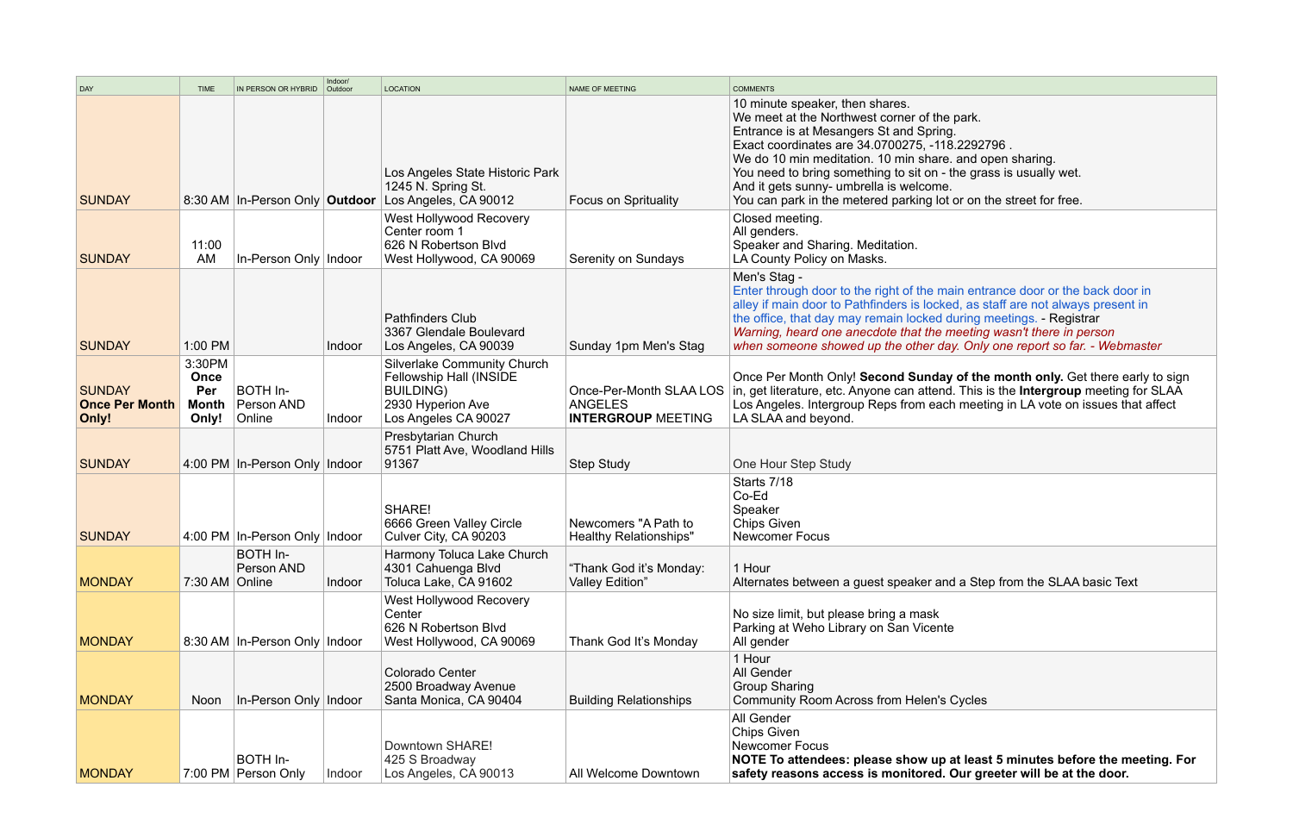|                                                 |                                                |                                   | Indoor/ |                                                                                                                         |                                                                        |                                                                                                                                                                                                                                                                                                                                                                                                                                 |
|-------------------------------------------------|------------------------------------------------|-----------------------------------|---------|-------------------------------------------------------------------------------------------------------------------------|------------------------------------------------------------------------|---------------------------------------------------------------------------------------------------------------------------------------------------------------------------------------------------------------------------------------------------------------------------------------------------------------------------------------------------------------------------------------------------------------------------------|
| DAY                                             | <b>TIME</b>                                    | IN PERSON OR HYBRID               | Outdoor | <b>LOCATION</b>                                                                                                         | NAME OF MEETING                                                        | <b>COMMENTS</b>                                                                                                                                                                                                                                                                                                                                                                                                                 |
| <b>SUNDAY</b>                                   |                                                |                                   |         | Los Angeles State Historic Park<br>1245 N. Spring St.<br>8:30 AM In-Person Only Outdoor Los Angeles, CA 90012           | <b>Focus on Sprituality</b>                                            | 10 minute speaker, then shares.<br>We meet at the Northwest corner of the park.<br>Entrance is at Mesangers St and Spring.<br>Exact coordinates are 34.0700275, -118.2292796.<br>We do 10 min meditation. 10 min share, and open sharing.<br>You need to bring something to sit on - the grass is usually wet.<br>And it gets sunny- umbrella is welcome.<br>You can park in the metered parking lot or on the street for free. |
| <b>SUNDAY</b>                                   | 11:00<br>AM                                    | In-Person Only Indoor             |         | West Hollywood Recovery<br>Center room 1<br>626 N Robertson Blvd<br>West Hollywood, CA 90069                            | Serenity on Sundays                                                    | Closed meeting.<br>All genders.<br>Speaker and Sharing. Meditation.<br>LA County Policy on Masks.                                                                                                                                                                                                                                                                                                                               |
| <b>SUNDAY</b>                                   | 1:00 PM                                        |                                   | Indoor  | <b>Pathfinders Club</b><br>3367 Glendale Boulevard<br>Los Angeles, CA 90039                                             | Sunday 1pm Men's Stag                                                  | Men's Stag -<br>Enter through door to the right of the main entrance door or the back door in<br>alley if main door to Pathfinders is locked, as staff are not always present in<br>the office, that day may remain locked during meetings. - Registrar<br>Warning, heard one anecdote that the meeting wasn't there in person<br>when someone showed up the other day. Only one report so far. - Webmaster                     |
| <b>SUNDAY</b><br><b>Once Per Month</b><br>Only! | 3:30PM<br>Once<br>Per<br><b>Month</b><br>Only! | BOTH In-<br>Person AND<br>Online  | Indoor  | Silverlake Community Church<br>Fellowship Hall (INSIDE<br><b>BUILDING)</b><br>2930 Hyperion Ave<br>Los Angeles CA 90027 | Once-Per-Month SLAA LOS<br><b>ANGELES</b><br><b>INTERGROUP MEETING</b> | Once Per Month Only! Second Sunday of the month only. Get there early to<br>in, get literature, etc. Anyone can attend. This is the Intergroup meeting for S<br>Los Angeles. Intergroup Reps from each meeting in LA vote on issues that aff<br>LA SLAA and beyond.                                                                                                                                                             |
| <b>SUNDAY</b>                                   |                                                | 4:00 PM In-Person Only Indoor     |         | Presbytarian Church<br>5751 Platt Ave, Woodland Hills<br>91367                                                          | <b>Step Study</b>                                                      | One Hour Step Study                                                                                                                                                                                                                                                                                                                                                                                                             |
| <b>SUNDAY</b>                                   |                                                | 4:00 PM   In-Person Only   Indoor |         | SHARE!<br>6666 Green Valley Circle<br>Culver City, CA 90203                                                             | Newcomers "A Path to<br><b>Healthy Relationships"</b>                  | Starts 7/18<br>Co-Ed<br>Speaker<br><b>Chips Given</b><br><b>Newcomer Focus</b>                                                                                                                                                                                                                                                                                                                                                  |
| <b>MONDAY</b>                                   | $7:30$ AM $\vert$ Online                       | BOTH In-<br>Person AND            | Indoor  | Harmony Toluca Lake Church<br>4301 Cahuenga Blvd<br>Toluca Lake, CA 91602                                               | "Thank God it's Monday:<br>Valley Edition"                             | 1 Hour<br>Alternates between a quest speaker and a Step from the SLAA basic Text                                                                                                                                                                                                                                                                                                                                                |
| <b>MONDAY</b>                                   |                                                | 8:30 AM   In-Person Only   Indoor |         | West Hollywood Recovery<br>Center<br>626 N Robertson Blvd<br>West Hollywood, CA 90069                                   | Thank God It's Monday                                                  | No size limit, but please bring a mask<br>Parking at Weho Library on San Vicente<br>All gender                                                                                                                                                                                                                                                                                                                                  |
| <b>MONDAY</b>                                   | <b>Noon</b>                                    | In-Person Only Indoor             |         | <b>Colorado Center</b><br>2500 Broadway Avenue<br>Santa Monica, CA 90404                                                | <b>Building Relationships</b>                                          | 1 Hour<br>All Gender<br><b>Group Sharing</b><br><b>Community Room Across from Helen's Cycles</b>                                                                                                                                                                                                                                                                                                                                |
| <b>MONDAY</b>                                   |                                                | BOTH In-<br>7:00 PM Person Only   | Indoor  | Downtown SHARE!<br>425 S Broadway<br>Los Angeles, CA 90013                                                              | All Welcome Downtown                                                   | <b>All Gender</b><br><b>Chips Given</b><br><b>Newcomer Focus</b><br>NOTE To attendees: please show up at least 5 minutes before the meetin<br>safety reasons access is monitored. Our greeter will be at the door.                                                                                                                                                                                                              |

| <b>COMMENTS</b>                                                                                                                                                                                                                                                                                                                                                                                                                 |
|---------------------------------------------------------------------------------------------------------------------------------------------------------------------------------------------------------------------------------------------------------------------------------------------------------------------------------------------------------------------------------------------------------------------------------|
| 10 minute speaker, then shares.<br>We meet at the Northwest corner of the park.<br>Entrance is at Mesangers St and Spring.<br>Exact coordinates are 34.0700275, -118.2292796.<br>We do 10 min meditation. 10 min share. and open sharing.<br>You need to bring something to sit on - the grass is usually wet.<br>And it gets sunny- umbrella is welcome.<br>You can park in the metered parking lot or on the street for free. |
| Closed meeting.<br>All genders.<br>Speaker and Sharing. Meditation.<br>LA County Policy on Masks.                                                                                                                                                                                                                                                                                                                               |
| Men's Stag -<br>Enter through door to the right of the main entrance door or the back door in<br>alley if main door to Pathfinders is locked, as staff are not always present in<br>the office, that day may remain locked during meetings. - Registrar<br>Warning, heard one anecdote that the meeting wasn't there in person<br>when someone showed up the other day. Only one report so far. - Webmaster                     |
| Once Per Month Only! Second Sunday of the month only. Get there early to sign<br>in, get literature, etc. Anyone can attend. This is the <b>Intergroup</b> meeting for SLAA<br>Los Angeles. Intergroup Reps from each meeting in LA vote on issues that affect<br>LA SLAA and beyond.                                                                                                                                           |
| One Hour Step Study                                                                                                                                                                                                                                                                                                                                                                                                             |
| Starts 7/18<br>Co-Ed<br>Speaker<br><b>Chips Given</b><br><b>Newcomer Focus</b>                                                                                                                                                                                                                                                                                                                                                  |
| 1 Hour<br>Alternates between a guest speaker and a Step from the SLAA basic Text                                                                                                                                                                                                                                                                                                                                                |
| No size limit, but please bring a mask<br>Parking at Weho Library on San Vicente<br>All gender                                                                                                                                                                                                                                                                                                                                  |
| 1 Hour<br><b>All Gender</b><br><b>Group Sharing</b><br><b>Community Room Across from Helen's Cycles</b>                                                                                                                                                                                                                                                                                                                         |
| All Gender<br>Chips Given<br>Newcomer Focus<br>NOTE To attendees: please show up at least 5 minutes before the meeting. For                                                                                                                                                                                                                                                                                                     |

**. Our greeter will be at the door.**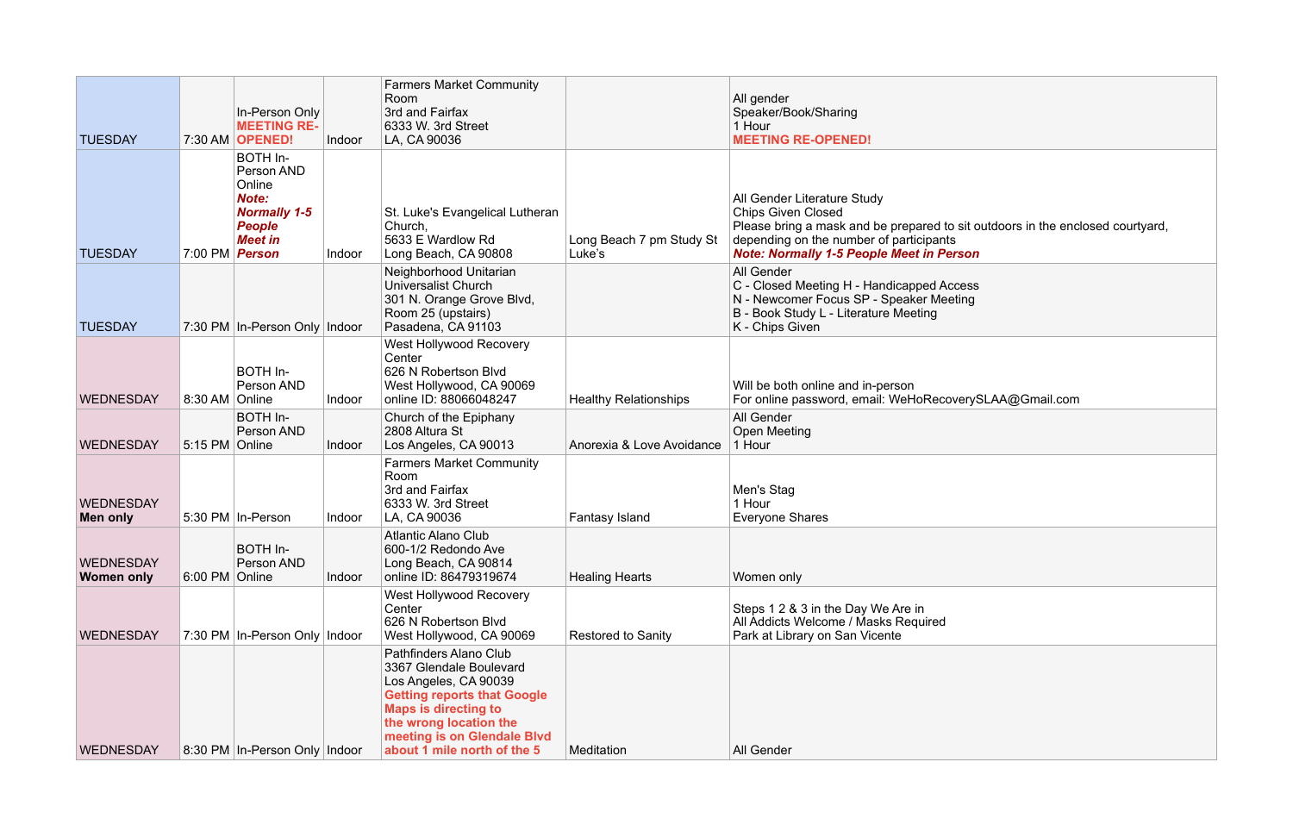| Speaker/Book/Sharing<br>1 Hour<br><b>MEETING RE-OPENED!</b>                                                                                                                                                       |
|-------------------------------------------------------------------------------------------------------------------------------------------------------------------------------------------------------------------|
| All Gender Literature Study<br><b>Chips Given Closed</b><br>Please bring a mask and be prepared to sit outdoors in the enclosed courtyard,<br>depending on the number of participants                             |
| <b>Note: Normally 1-5 People Meet in Person</b><br>All Gender<br>C - Closed Meeting H - Handicapped Access<br>N - Newcomer Focus SP - Speaker Meeting<br>B - Book Study L - Literature Meeting<br>K - Chips Given |
| Will be both online and in-person<br>For online password, email: WeHoRecoverySLAA@Gmail.com<br>All Gender                                                                                                         |
| Open Meeting<br>1 Hour                                                                                                                                                                                            |
| Men's Stag<br>1 Hour<br><b>Everyone Shares</b>                                                                                                                                                                    |
| Women only                                                                                                                                                                                                        |
| Steps 1 2 & 3 in the Day We Are in<br>All Addicts Welcome / Masks Required<br>Park at Library on San Vicente                                                                                                      |
|                                                                                                                                                                                                                   |
|                                                                                                                                                                                                                   |

| <b>TUESDAY</b>                        |                       | In-Person Only<br><b>MEETING RE-</b><br>7:30 AM OPENED!                                             | Indoor | <b>Farmers Market Community</b><br>Room<br>3rd and Fairfax<br>6333 W. 3rd Street<br>LA, CA 90036                                                                                                                                        |                                    | All gender<br>Speaker/Book/Sharing<br>1 Hour<br><b>MEETING RE-OPENED!</b>                                                                                                                                                |
|---------------------------------------|-----------------------|-----------------------------------------------------------------------------------------------------|--------|-----------------------------------------------------------------------------------------------------------------------------------------------------------------------------------------------------------------------------------------|------------------------------------|--------------------------------------------------------------------------------------------------------------------------------------------------------------------------------------------------------------------------|
| <b>TUESDAY</b>                        | 7:00 PM <b>Person</b> | BOTH In-<br>Person AND<br>Online<br>Note:<br><b>Normally 1-5</b><br><b>People</b><br><b>Meet in</b> | Indoor | St. Luke's Evangelical Lutheran<br>Church,<br>5633 E Wardlow Rd<br>Long Beach, CA 90808                                                                                                                                                 | Long Beach 7 pm Study St<br>Luke's | All Gender Literature Study<br><b>Chips Given Closed</b><br>Please bring a mask and be prepared to sit outdoors in the enc<br>depending on the number of participants<br><b>Note: Normally 1-5 People Meet in Person</b> |
| <b>TUESDAY</b>                        |                       | 7:30 PM In-Person Only Indoor                                                                       |        | Neighborhood Unitarian<br><b>Universalist Church</b><br>301 N. Orange Grove Blvd,<br>Room 25 (upstairs)<br>Pasadena, CA 91103                                                                                                           |                                    | All Gender<br>C - Closed Meeting H - Handicapped Access<br>N - Newcomer Focus SP - Speaker Meeting<br>B - Book Study L - Literature Meeting<br>K - Chips Given                                                           |
| <b>WEDNESDAY</b>                      | 8:30 AM   Online      | BOTH In-<br>Person AND                                                                              | Indoor | West Hollywood Recovery<br>Center<br>626 N Robertson Blvd<br>West Hollywood, CA 90069<br>online ID: 88066048247                                                                                                                         | <b>Healthy Relationships</b>       | Will be both online and in-person<br>For online password, email: WeHoRecoverySLAA@Gmail.com                                                                                                                              |
| <b>WEDNESDAY</b>                      | 5:15 PM Online        | BOTH In-<br>Person AND                                                                              | Indoor | Church of the Epiphany<br>2808 Altura St<br>Los Angeles, CA 90013                                                                                                                                                                       | Anorexia & Love Avoidance          | All Gender<br><b>Open Meeting</b><br>1 Hour                                                                                                                                                                              |
| <b>WEDNESDAY</b><br>Men only          |                       | 5:30 PM   In-Person                                                                                 | Indoor | <b>Farmers Market Community</b><br>Room<br>3rd and Fairfax<br>6333 W. 3rd Street<br>LA, CA 90036                                                                                                                                        | <b>Fantasy Island</b>              | Men's Stag<br>1 Hour<br><b>Everyone Shares</b>                                                                                                                                                                           |
| <b>WEDNESDAY</b><br><b>Women only</b> | 6:00 PM Online        | BOTH In-<br>Person AND                                                                              | Indoor | <b>Atlantic Alano Club</b><br>600-1/2 Redondo Ave<br>Long Beach, CA 90814<br>online ID: 86479319674                                                                                                                                     | <b>Healing Hearts</b>              | Women only                                                                                                                                                                                                               |
| <b>WEDNESDAY</b>                      |                       | 7:30 PM In-Person Only Indoor                                                                       |        | West Hollywood Recovery<br>Center<br>626 N Robertson Blvd<br>West Hollywood, CA 90069                                                                                                                                                   | <b>Restored to Sanity</b>          | Steps 1 2 & 3 in the Day We Are in<br>All Addicts Welcome / Masks Required<br>Park at Library on San Vicente                                                                                                             |
| <b>WEDNESDAY</b>                      |                       | 8:30 PM In-Person Only Indoor                                                                       |        | Pathfinders Alano Club<br>3367 Glendale Boulevard<br>Los Angeles, CA 90039<br><b>Getting reports that Google</b><br><b>Maps is directing to</b><br>the wrong location the<br>meeting is on Glendale Blvd<br>about 1 mile north of the 5 | Meditation                         | All Gender                                                                                                                                                                                                               |